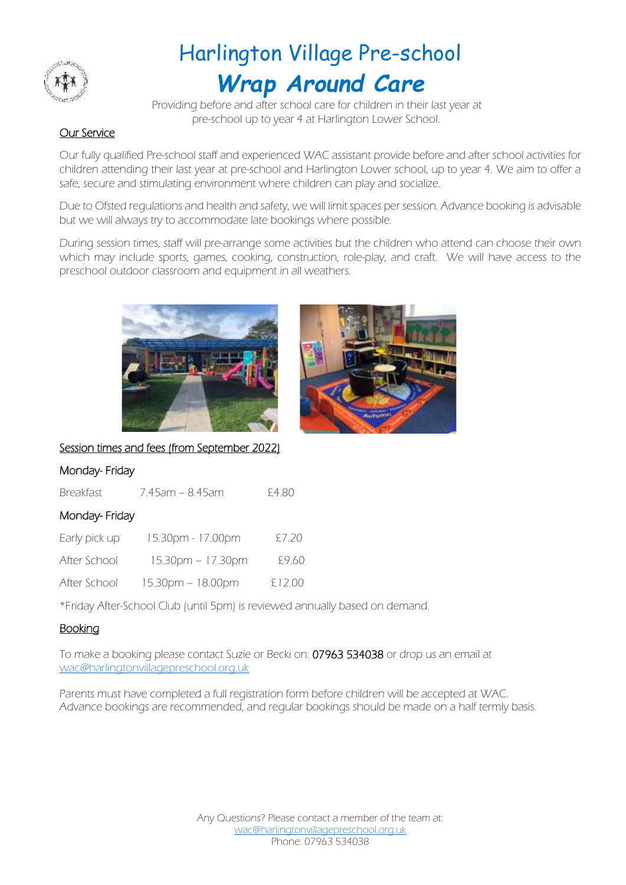

# Harlington Village Pre-school *Wrap Around Care*

 Providing before and after school care for children in their last year at pre-school up to year 4 at Harlington Lower School.

## Our Service

Our fully qualified Pre-school staff and experienced WAC assistant provide before and after school activities for children attending their last year at pre-school and Harlington Lower school, up to year 4. We aim to offer a safe, secure and stimulating environment where children can play and socialize.

Due to Ofsted regulations and health and safety, we will limit spaces per session. Advance booking is advisable but we will always try to accommodate late bookings where possible.

During session times, staff will pre-arrange some activities but the children who attend can choose their own which may include sports, games, cooking, construction, role-play, and craft. We will have access to the preschool outdoor classroom and equipment in all weathers.





Session times and fees (from September 2022)

### Monday- Friday

| <b>Breakfast</b> | 7.45am – 8.45am     | £4.80  |
|------------------|---------------------|--------|
| Monday-Friday    |                     |        |
| Early pick up    | 15.30pm - 17.00pm   | £7.20  |
| After School     | $15.30pm - 17.30pm$ | £9.60  |
| After School     | 15.30pm - 18.00pm   | £12.00 |

\*Friday After-School Club (until 5pm) is reviewed annually based on demand.

### Booking

To make a booking please contact Suzie or Becki on: 07963 534038 or drop us an email at [wac@harlingtonvillagepreschool.org.uk](mailto:wac@harlingtonvillagepreschool.org.uk)

Parents must have completed a full registration form before children will be accepted at WAC. Advance bookings are recommended, and regular bookings should be made on a half termly basis.